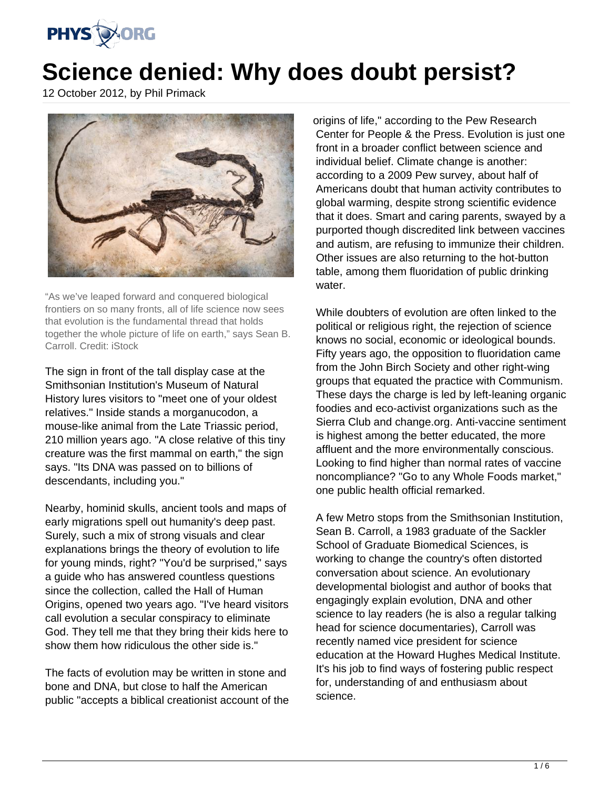

# **Science denied: Why does doubt persist?**

12 October 2012, by Phil Primack



"As we've leaped forward and conquered biological frontiers on so many fronts, all of life science now sees that evolution is the fundamental thread that holds together the whole picture of life on earth," says Sean B. Carroll. Credit: iStock

The sign in front of the tall display case at the Smithsonian Institution's Museum of Natural History lures visitors to "meet one of your oldest relatives." Inside stands a morganucodon, a mouse-like animal from the Late Triassic period, 210 million years ago. "A close relative of this tiny creature was the first mammal on earth," the sign says. "Its DNA was passed on to billions of descendants, including you."

Nearby, hominid skulls, ancient tools and maps of early migrations spell out humanity's deep past. Surely, such a mix of strong visuals and clear explanations brings the theory of evolution to life for young minds, right? "You'd be surprised," says a guide who has answered countless questions since the collection, called the Hall of Human Origins, opened two years ago. "I've heard visitors call evolution a secular conspiracy to eliminate God. They tell me that they bring their kids here to show them how ridiculous the other side is."

The facts of evolution may be written in stone and bone and DNA, but close to half the American public "accepts a biblical creationist account of the origins of life," according to the Pew Research Center for People & the Press. Evolution is just one front in a broader conflict between science and individual belief. Climate change is another: according to a 2009 Pew survey, about half of Americans doubt that human activity contributes to global warming, despite strong scientific evidence that it does. Smart and caring parents, swayed by a purported though discredited link between vaccines and autism, are refusing to immunize their children. Other issues are also returning to the hot-button table, among them fluoridation of public drinking water.

While doubters of evolution are often linked to the political or religious right, the rejection of science knows no social, economic or ideological bounds. Fifty years ago, the opposition to fluoridation came from the John Birch Society and other right-wing groups that equated the practice with Communism. These days the charge is led by left-leaning organic foodies and eco-activist organizations such as the Sierra Club and change.org. Anti-vaccine sentiment is highest among the better educated, the more affluent and the more environmentally conscious. Looking to find higher than normal rates of vaccine noncompliance? "Go to any Whole Foods market," one public health official remarked.

A few Metro stops from the Smithsonian Institution, Sean B. Carroll, a 1983 graduate of the Sackler School of Graduate Biomedical Sciences, is working to change the country's often distorted conversation about science. An evolutionary developmental biologist and author of books that engagingly explain evolution, DNA and other science to lay readers (he is also a regular talking head for science documentaries), Carroll was recently named vice president for science education at the Howard Hughes Medical Institute. It's his job to find ways of fostering public respect for, understanding of and enthusiasm about science.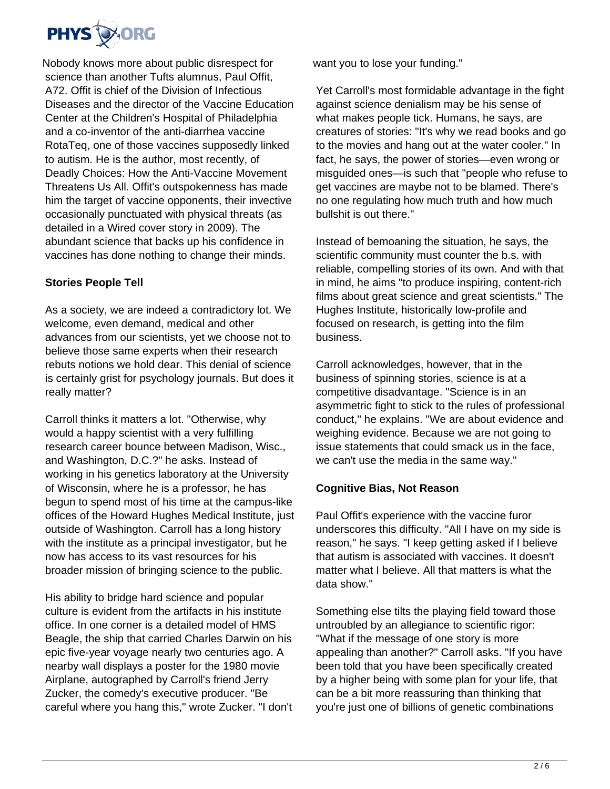

Nobody knows more about public disrespect for science than another Tufts alumnus, Paul Offit, A72. Offit is chief of the Division of Infectious Diseases and the director of the Vaccine Education Center at the Children's Hospital of Philadelphia and a co-inventor of the anti-diarrhea vaccine RotaTeq, one of those vaccines supposedly linked to autism. He is the author, most recently, of Deadly Choices: How the Anti-Vaccine Movement Threatens Us All. Offit's outspokenness has made him the target of vaccine opponents, their invective occasionally punctuated with physical threats (as detailed in a Wired cover story in 2009). The abundant science that backs up his confidence in vaccines has done nothing to change their minds.

## **Stories People Tell**

As a society, we are indeed a contradictory lot. We welcome, even demand, medical and other advances from our scientists, yet we choose not to believe those same experts when their research rebuts notions we hold dear. This denial of science is certainly grist for psychology journals. But does it really matter?

Carroll thinks it matters a lot. "Otherwise, why would a happy scientist with a very fulfilling research career bounce between Madison, Wisc., and Washington, D.C.?" he asks. Instead of working in his genetics laboratory at the University of Wisconsin, where he is a professor, he has begun to spend most of his time at the campus-like offices of the Howard Hughes Medical Institute, just outside of Washington. Carroll has a long history with the institute as a principal investigator, but he now has access to its vast resources for his broader mission of bringing science to the public.

His ability to bridge hard science and popular culture is evident from the artifacts in his institute office. In one corner is a detailed model of HMS Beagle, the ship that carried Charles Darwin on his epic five-year voyage nearly two centuries ago. A nearby wall displays a poster for the 1980 movie Airplane, autographed by Carroll's friend Jerry Zucker, the comedy's executive producer. "Be careful where you hang this," wrote Zucker. "I don't want you to lose your funding."

Yet Carroll's most formidable advantage in the fight against science denialism may be his sense of what makes people tick. Humans, he says, are creatures of stories: "It's why we read books and go to the movies and hang out at the water cooler." In fact, he says, the power of stories—even wrong or misguided ones—is such that "people who refuse to get vaccines are maybe not to be blamed. There's no one regulating how much truth and how much bullshit is out there."

Instead of bemoaning the situation, he says, the scientific community must counter the b.s. with reliable, compelling stories of its own. And with that in mind, he aims "to produce inspiring, content-rich films about great science and great scientists." The Hughes Institute, historically low-profile and focused on research, is getting into the film business.

Carroll acknowledges, however, that in the business of spinning stories, science is at a competitive disadvantage. "Science is in an asymmetric fight to stick to the rules of professional conduct," he explains. "We are about evidence and weighing evidence. Because we are not going to issue statements that could smack us in the face, we can't use the media in the same way."

### **Cognitive Bias, Not Reason**

Paul Offit's experience with the vaccine furor underscores this difficulty. "All I have on my side is reason," he says. "I keep getting asked if I believe that autism is associated with vaccines. It doesn't matter what I believe. All that matters is what the data show."

Something else tilts the playing field toward those untroubled by an allegiance to scientific rigor: "What if the message of one story is more appealing than another?" Carroll asks. "If you have been told that you have been specifically created by a higher being with some plan for your life, that can be a bit more reassuring than thinking that you're just one of billions of genetic combinations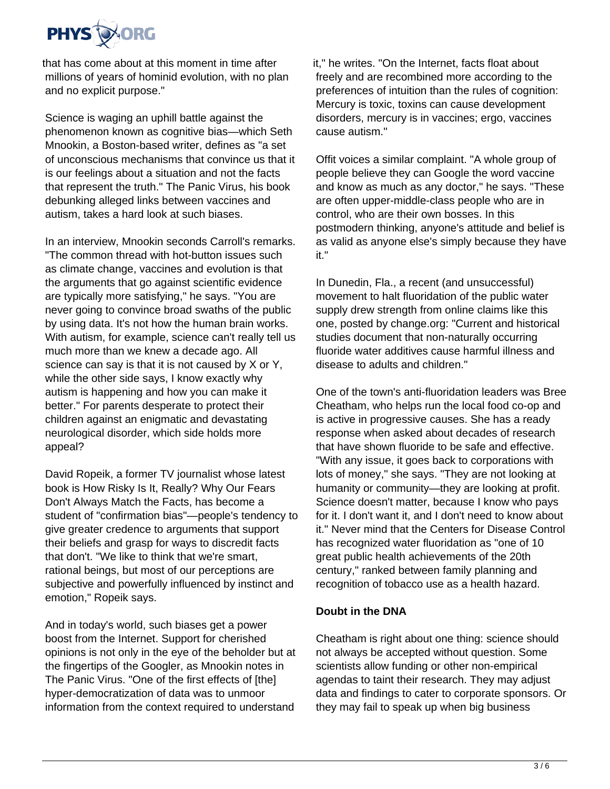

that has come about at this moment in time after millions of years of hominid evolution, with no plan and no explicit purpose."

Science is waging an uphill battle against the phenomenon known as cognitive bias—which Seth Mnookin, a Boston-based writer, defines as "a set of unconscious mechanisms that convince us that it is our feelings about a situation and not the facts that represent the truth." The Panic Virus, his book debunking alleged links between vaccines and autism, takes a hard look at such biases.

In an interview, Mnookin seconds Carroll's remarks. "The common thread with hot-button issues such as climate change, vaccines and evolution is that the arguments that go against scientific evidence are typically more satisfying," he says. "You are never going to convince broad swaths of the public by using data. It's not how the human brain works. With autism, for example, science can't really tell us much more than we knew a decade ago. All science can say is that it is not caused by X or Y, while the other side says, I know exactly why autism is happening and how you can make it better." For parents desperate to protect their children against an enigmatic and devastating neurological disorder, which side holds more appeal?

David Ropeik, a former TV journalist whose latest book is How Risky Is It, Really? Why Our Fears Don't Always Match the Facts, has become a student of "confirmation bias"—people's tendency to give greater credence to arguments that support their beliefs and grasp for ways to discredit facts that don't. "We like to think that we're smart, rational beings, but most of our perceptions are subjective and powerfully influenced by instinct and emotion," Ropeik says.

And in today's world, such biases get a power boost from the Internet. Support for cherished opinions is not only in the eye of the beholder but at the fingertips of the Googler, as Mnookin notes in The Panic Virus. "One of the first effects of [the] hyper-democratization of data was to unmoor information from the context required to understand

it," he writes. "On the Internet, facts float about freely and are recombined more according to the preferences of intuition than the rules of cognition: Mercury is toxic, toxins can cause development disorders, mercury is in vaccines; ergo, vaccines cause autism."

Offit voices a similar complaint. "A whole group of people believe they can Google the word vaccine and know as much as any doctor," he says. "These are often upper-middle-class people who are in control, who are their own bosses. In this postmodern thinking, anyone's attitude and belief is as valid as anyone else's simply because they have it."

In Dunedin, Fla., a recent (and unsuccessful) movement to halt fluoridation of the public water supply drew strength from online claims like this one, posted by change.org: "Current and historical studies document that non-naturally occurring fluoride water additives cause harmful illness and disease to adults and children."

One of the town's anti-fluoridation leaders was Bree Cheatham, who helps run the local food co-op and is active in progressive causes. She has a ready response when asked about decades of research that have shown fluoride to be safe and effective. "With any issue, it goes back to corporations with lots of money," she says. "They are not looking at humanity or community—they are looking at profit. Science doesn't matter, because I know who pays for it. I don't want it, and I don't need to know about it." Never mind that the Centers for Disease Control has recognized water fluoridation as "one of 10 great public health achievements of the 20th century," ranked between family planning and recognition of tobacco use as a health hazard.

### **Doubt in the DNA**

Cheatham is right about one thing: science should not always be accepted without question. Some scientists allow funding or other non-empirical agendas to taint their research. They may adjust data and findings to cater to corporate sponsors. Or they may fail to speak up when big business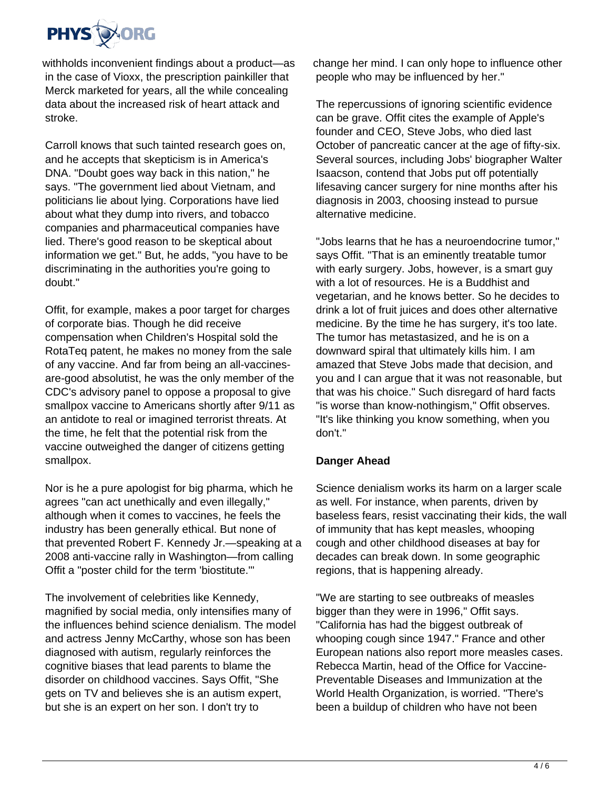

withholds inconvenient findings about a product—as in the case of Vioxx, the prescription painkiller that Merck marketed for years, all the while concealing data about the increased risk of heart attack and stroke.

Carroll knows that such tainted research goes on, and he accepts that skepticism is in America's DNA. "Doubt goes way back in this nation," he says. "The government lied about Vietnam, and politicians lie about lying. Corporations have lied about what they dump into rivers, and tobacco companies and pharmaceutical companies have lied. There's good reason to be skeptical about information we get." But, he adds, "you have to be discriminating in the authorities you're going to doubt."

Offit, for example, makes a poor target for charges of corporate bias. Though he did receive compensation when Children's Hospital sold the RotaTeq patent, he makes no money from the sale of any vaccine. And far from being an all-vaccinesare-good absolutist, he was the only member of the CDC's advisory panel to oppose a proposal to give smallpox vaccine to Americans shortly after 9/11 as an antidote to real or imagined terrorist threats. At the time, he felt that the potential risk from the vaccine outweighed the danger of citizens getting smallpox.

Nor is he a pure apologist for big pharma, which he agrees "can act unethically and even illegally," although when it comes to vaccines, he feels the industry has been generally ethical. But none of that prevented Robert F. Kennedy Jr.—speaking at a 2008 anti-vaccine rally in Washington—from calling Offit a "poster child for the term 'biostitute.'"

The involvement of celebrities like Kennedy, magnified by social media, only intensifies many of the influences behind science denialism. The model and actress Jenny McCarthy, whose son has been diagnosed with autism, regularly reinforces the cognitive biases that lead parents to blame the disorder on childhood vaccines. Says Offit, "She gets on TV and believes she is an autism expert, but she is an expert on her son. I don't try to

change her mind. I can only hope to influence other people who may be influenced by her."

The repercussions of ignoring scientific evidence can be grave. Offit cites the example of Apple's founder and CEO, Steve Jobs, who died last October of pancreatic cancer at the age of fifty-six. Several sources, including Jobs' biographer Walter Isaacson, contend that Jobs put off potentially lifesaving cancer surgery for nine months after his diagnosis in 2003, choosing instead to pursue alternative medicine.

"Jobs learns that he has a neuroendocrine tumor," says Offit. "That is an eminently treatable tumor with early surgery. Jobs, however, is a smart guy with a lot of resources. He is a Buddhist and vegetarian, and he knows better. So he decides to drink a lot of fruit juices and does other alternative medicine. By the time he has surgery, it's too late. The tumor has metastasized, and he is on a downward spiral that ultimately kills him. I am amazed that Steve Jobs made that decision, and you and I can argue that it was not reasonable, but that was his choice." Such disregard of hard facts "is worse than know-nothingism," Offit observes. "It's like thinking you know something, when you don't."

### **Danger Ahead**

Science denialism works its harm on a larger scale as well. For instance, when parents, driven by baseless fears, resist vaccinating their kids, the wall of immunity that has kept measles, whooping cough and other childhood diseases at bay for decades can break down. In some geographic regions, that is happening already.

"We are starting to see outbreaks of measles bigger than they were in 1996," Offit says. "California has had the biggest outbreak of whooping cough since 1947." France and other European nations also report more measles cases. Rebecca Martin, head of the Office for Vaccine-Preventable Diseases and Immunization at the World Health Organization, is worried. "There's been a buildup of children who have not been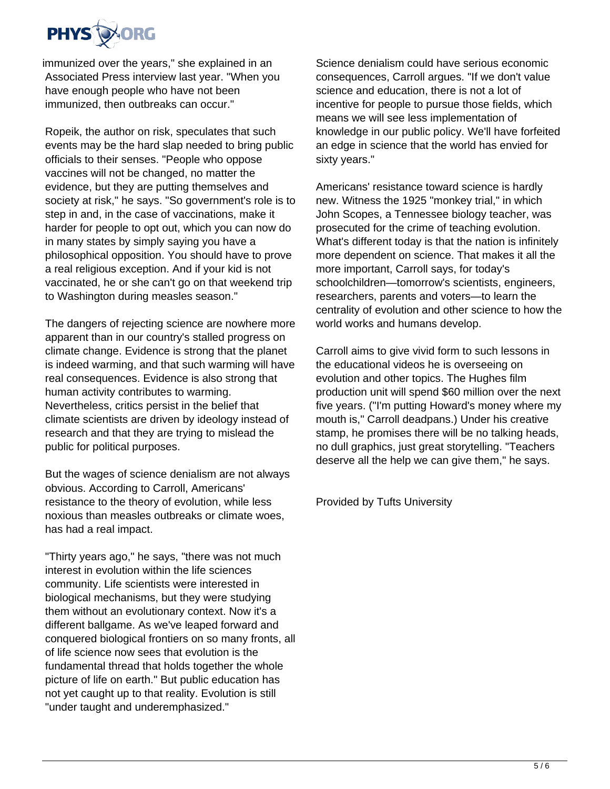

immunized over the years," she explained in an Associated Press interview last year. "When you have enough people who have not been immunized, then outbreaks can occur."

Ropeik, the author on risk, speculates that such events may be the hard slap needed to bring public officials to their senses. "People who oppose vaccines will not be changed, no matter the evidence, but they are putting themselves and society at risk," he says. "So government's role is to step in and, in the case of vaccinations, make it harder for people to opt out, which you can now do in many states by simply saying you have a philosophical opposition. You should have to prove a real religious exception. And if your kid is not vaccinated, he or she can't go on that weekend trip to Washington during measles season."

The dangers of rejecting science are nowhere more apparent than in our country's stalled progress on climate change. Evidence is strong that the planet is indeed warming, and that such warming will have real consequences. Evidence is also strong that human activity contributes to warming. Nevertheless, critics persist in the belief that climate scientists are driven by ideology instead of research and that they are trying to mislead the public for political purposes.

But the wages of science denialism are not always obvious. According to Carroll, Americans' resistance to the theory of evolution, while less noxious than measles outbreaks or climate woes, has had a real impact.

"Thirty years ago," he says, "there was not much interest in evolution within the life sciences community. Life scientists were interested in biological mechanisms, but they were studying them without an evolutionary context. Now it's a different ballgame. As we've leaped forward and conquered biological frontiers on so many fronts, all of life science now sees that evolution is the fundamental thread that holds together the whole picture of life on earth." But public education has not yet caught up to that reality. Evolution is still "under taught and underemphasized."

Science denialism could have serious economic consequences, Carroll argues. "If we don't value science and education, there is not a lot of incentive for people to pursue those fields, which means we will see less implementation of knowledge in our public policy. We'll have forfeited an edge in science that the world has envied for sixty years."

Americans' resistance toward science is hardly new. Witness the 1925 "monkey trial," in which John Scopes, a Tennessee biology teacher, was prosecuted for the crime of teaching evolution. What's different today is that the nation is infinitely more dependent on science. That makes it all the more important, Carroll says, for today's schoolchildren—tomorrow's scientists, engineers, researchers, parents and voters—to learn the centrality of evolution and other science to how the world works and humans develop.

Carroll aims to give vivid form to such lessons in the educational videos he is overseeing on evolution and other topics. The Hughes film production unit will spend \$60 million over the next five years. ("I'm putting Howard's money where my mouth is," Carroll deadpans.) Under his creative stamp, he promises there will be no talking heads, no dull graphics, just great storytelling. "Teachers deserve all the help we can give them," he says.

Provided by Tufts University